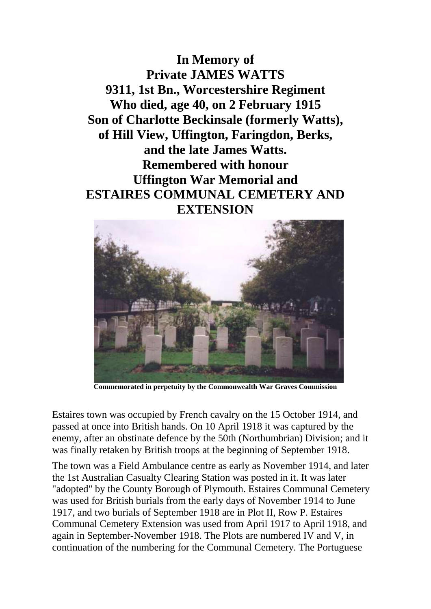**In Memory of Private JAMES WATTS 9311, 1st Bn., Worcestershire Regiment Who died, age 40, on 2 February 1915 Son of Charlotte Beckinsale (formerly Watts), of Hill View, Uffington, Faringdon, Berks, and the late James Watts. Remembered with honour Uffington War Memorial and ESTAIRES COMMUNAL CEMETERY AND EXTENSION**



**Commemorated in perpetuity by the Commonwealth War Graves Commission**

Estaires town was occupied by French cavalry on the 15 October 1914, and passed at once into British hands. On 10 April 1918 it was captured by the enemy, after an obstinate defence by the 50th (Northumbrian) Division; and it was finally retaken by British troops at the beginning of September 1918.

The town was a Field Ambulance centre as early as November 1914, and later the 1st Australian Casualty Clearing Station was posted in it. It was later "adopted" by the County Borough of Plymouth. Estaires Communal Cemetery was used for British burials from the early days of November 1914 to June 1917, and two burials of September 1918 are in Plot II, Row P. Estaires Communal Cemetery Extension was used from April 1917 to April 1918, and again in September-November 1918. The Plots are numbered IV and V, in continuation of the numbering for the Communal Cemetery. The Portuguese